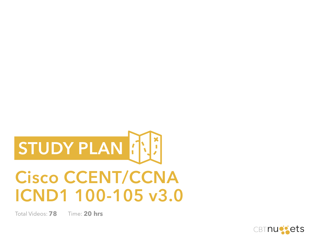

# **Cisco CCENT/CCNA ICND1 100-105 v3.0**

Total Videos: **78** Time: **20 hrs**

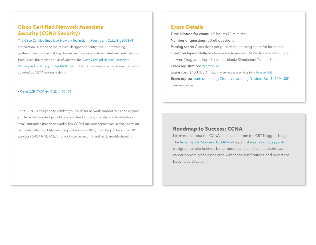#### **Cisco Certified Network Associate Security (CCNA Security)**

The [Cisco Certified Entry level Network Technician — Routing and Switching \(CCENT\)](http://www.cisco.com/c/en/us/training-events/training-certifications/certifications/entry/ccent.html) certification is, as the name implies, designed for entry-level IT networking professionals. It is the first step toward earning several Associate-level certifications from Cisco, the most popular of which is the [Cisco Certified Network Associate –](http://www.cisco.com/c/en/us/training-events/training-certifications/certifications/associate/ccna-routing-switching.html)  [Routing and Switching \(CCNA R&S\)](http://www.cisco.com/c/en/us/training-events/training-certifications/certifications/associate/ccna-routing-switching.html). The CCENT is made up of just one exam, which is covered by CBT Nuggets training:

#### • [Cisco CCENT/CCNA ICND1 100-105](http://www.cbtnuggets.com/it-training/cisco-ccna-icnd1-100-105)

The CCENT is designed to validate your skills for network support roles and ensures you have the knowledge, skills, and abilities to install, operate, and troubleshoot small enterprise branch networks. The CCENT includes topics such as the operation of IP data networks, LAN switching technologies, IPv6, IP routing technologies, IP services (DHCP, NAT, ACLs), network device security, and basic troubleshooting.

#### **Exam Details**

(free resource)

**Time allotted for exam:** 1.5 hours (90 minutes) **Number of questions:** 50-60 questions **Passing score:** Cisco does not publish the passing score for its exams. **Question types:** Multiple choice/single answer; Multiple choice/multiple answer; Drag and drop; Fill-in-the-blank; Simulation; Testlet; Simlet **Exam registration:** Pearson VUE **Exam cost:** \$150 (USD) \*Learn more about exam fees from Pearson VUE **Exam topics:** Interconnecting Cisco Networking Devices Part 1 (100-105)

#### **Roadmap to Success: CCNA**

Learn more about the CCNA certification from the CBT Nuggets blog. The [Roadmap to Success: CCNA R&S](https://blog.cbtnuggets.com/2015/06/roadmap-to-success-ccna-rs/) is part of a [series of blog posts](https://blog.cbtnuggets.com/category/roadmap-to-success/) designed to help learners better understand certification pathways, career opportunities associated with those certifications, and next steps beyond certification.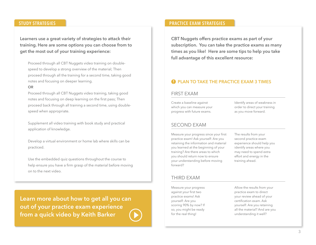**Learners use a great variety of strategies to attack their training. Here are some options you can choose from to get the most out of your training experience:**

Proceed through all CBT Nuggets video training on doublespeed to develop a strong overview of the material; Then proceed through all the training for a second time, taking good notes and focusing on deeper learning.

#### **OR**

Proceed through all CBT Nuggets video training, taking good notes and focusing on deep learning on the first pass; Then proceed back through all training a second time, using doublespeed when appropriate.

Supplement all video training with book study and practical application of knowledge.

Develop a virtual environment or home lab where skills can be practiced.

Use the embedded quiz questions throughout the course to help ensure you have a firm grasp of the material before moving on to the next video.

**[Learn more about how to get all you can](https://blog.cbtnuggets.com/2013/11/practice-exams-make-perfect/)  out of your practice exam experience from a quick video by Keith Barker**

#### **STUDY STRATEGIES PRACTICE EXAM STRATEGIES**

**CBT Nuggets offers practice exams as part of your subscription. You can take the practice exams as many times as you like! Here are some tips to help you take full advantage of this excellent resource:**

#### **PLAN TO TAKE THE PRACTICE EXAM 3 TIMES**

#### FIRST EXAM

Create a baseline against which you can measure your progress with future exams.

Identify areas of weakness in order to direct your training as you move forward.

#### SECOND EXAM

Measure your progress since your first practice exam! Ask yourself: Are you retaining the information and material you learned at the beginning of your training? Are there areas to which you should return now to ensure your understanding before moving forward?

The results from your second practice exam experience should help you identify areas where you may need to spend extra effort and energy in the training ahead.

#### THIRD EXAM

Measure your progress against your first two practice exams! Ask yourself: Are you scoring 90% by now? If so, you might be ready for the real thing!

Allow the results from your practice exam to direct your review ahead of your certification exam. Ask yourself: Are you retaining all the material? And are you understanding it well?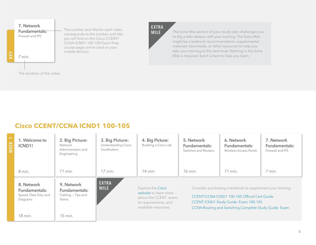

The Extra Mile section of your study plan challenges you to dig a little deeper with your training. The Extra Mile might be a textbook recommendation, supplemental materials downloads, or other resources to help you take your training to the next level. Nothing in the Extra

Mile is required, but it is here to help you learn.

### **Cisco CCENT/CCNA ICND1 100-105**

| $\frac{\text{K}}{\text{L}}$ | 1. Welcome to<br>ICND1!                                          | 2. Big Picture:<br>Network<br>Administration and<br>Engineering | 3. Big Picture:<br><b>Understanding Cisco</b><br>Certification | 4. Big Picture:<br>Building a Cisco Lab                                                                              | 5. Network<br>Fundamentals:<br>Switches and Routers | 6. Network<br>Fundamentals:<br>Wireless Access Points                                                                                                                                                                       | 7. Network<br><b>Fundamentals:</b><br>Firewall and IPS |
|-----------------------------|------------------------------------------------------------------|-----------------------------------------------------------------|----------------------------------------------------------------|----------------------------------------------------------------------------------------------------------------------|-----------------------------------------------------|-----------------------------------------------------------------------------------------------------------------------------------------------------------------------------------------------------------------------------|--------------------------------------------------------|
|                             | 8 min.                                                           | $11$ min.                                                       | $17$ min.                                                      | 14 min.                                                                                                              | 16 min.                                             | $11$ min.                                                                                                                                                                                                                   | 7 min.                                                 |
|                             | 8. Network<br>Fundamentals:<br>Speed, Data Size, and<br>Diagrams | 9. Network<br>Fundamentals:<br>Cabling - Tips and<br>Terms      | <b>EXTRA</b><br><b>MILE</b>                                    | Explore the Cisco<br>website to learn more<br>about the CCENT exam,<br>its requirements, and<br>available resources. |                                                     | Consider purchasing a textbook to supplement your training.<br><b>CCENT/CCNA ICND1 100-105 Official Cert Guide</b><br><b>CCENT ICND1 Study Guide: Exam 100-105</b><br>CCNA Routing and Switching Complete Study Guide: Exam |                                                        |
|                             | 18 min.                                                          | $15$ min.                                                       |                                                                |                                                                                                                      |                                                     |                                                                                                                                                                                                                             |                                                        |

**EXTRA MILE**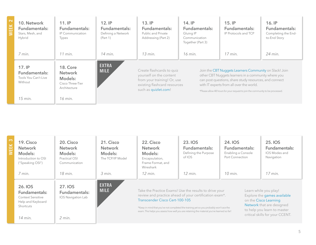| 띮 | 10. Network<br>Fundamentals:<br>Stars, Mesh, and<br>Hybrid | 11.1P<br>Fundamentals:<br>IP Communication<br>Types                              | $12.$ IP<br>Fundamentals:<br>Defining a Network<br>(Part 1) | 13.IP<br>Fundamentals:<br>Public and Private<br>Addressing (Part 2)                                                                         | $14.$ IP<br>Fundamentals:<br>Gluing IP<br>Communication<br>Together (Part 3) | $15.$ IP<br>Fundamentals:<br>IP Protocols and TCP                                                                                                                                                                                                                                                     | $16.$ IP<br>Fundamentals:<br>Completing the End-<br>to-End Story |
|---|------------------------------------------------------------|----------------------------------------------------------------------------------|-------------------------------------------------------------|---------------------------------------------------------------------------------------------------------------------------------------------|------------------------------------------------------------------------------|-------------------------------------------------------------------------------------------------------------------------------------------------------------------------------------------------------------------------------------------------------------------------------------------------------|------------------------------------------------------------------|
|   | 7 min.                                                     | $11$ min.                                                                        | 14 min.                                                     | $13$ min.                                                                                                                                   | 16 min.                                                                      | $17$ min.                                                                                                                                                                                                                                                                                             | 24 min.                                                          |
|   | 17.1P<br>Fundamentals:<br>Tools You Can't Live<br>Without  | <b>18. Core</b><br><b>Network</b><br>Models:<br>Cisco Three-Tier<br>Architecture | <b>EXTRA</b><br><b>MILE</b>                                 | Create flashcards to quiz<br>yourself on the content<br>from your training! Or, use<br>existing flashcard resources<br>such as quizlet.com! |                                                                              | Join the CBT Nuggets Learners Community on Slack! Join<br>other CBT Nuggets learners in a community where you<br>can post questions, share study resources, and connect<br>with IT experts from all over the world.<br>*Please allow 48 hours for your request to join the community to be processed. |                                                                  |
|   | 15 min.                                                    | 16 min.                                                                          |                                                             |                                                                                                                                             |                                                                              |                                                                                                                                                                                                                                                                                                       |                                                                  |

| $\infty$<br>폂 | 19. Cisco<br><b>Network</b><br>Models:<br>Introduction to OSI<br>("Speaking OSI")<br>7 min.                | 20. Cisco<br><b>Network</b><br>Models:<br>Practical OSI<br>Communication<br>18 min. | 21. Cisco<br><b>Network</b><br>Models:<br>The TCP/IP Model<br>$3$ min. | 22. Cisco<br><b>Network</b><br>Models:<br>Encapsulation,<br>Frame Format, and<br>Wireshark<br>$12$ min.                                                                                                                                          | 23. IOS<br>Fundamentals:<br>Defining the Purpose<br>of IOS<br>$12$ min.                | 24. IOS<br><b>Fundamentals:</b><br>Enabling a Console<br>Port Connection<br>$10$ min. | 25. IOS<br><b>Fundamentals:</b><br>IOS Modes and<br>Navigation<br>$17$ min.                                                                                                  |
|---------------|------------------------------------------------------------------------------------------------------------|-------------------------------------------------------------------------------------|------------------------------------------------------------------------|--------------------------------------------------------------------------------------------------------------------------------------------------------------------------------------------------------------------------------------------------|----------------------------------------------------------------------------------------|---------------------------------------------------------------------------------------|------------------------------------------------------------------------------------------------------------------------------------------------------------------------------|
|               | 26. IOS<br>Fundamentals:<br><b>Context Sensitive</b><br>Help and Keyboard<br><b>Shortcuts</b><br>$14$ min. | <b>27. IOS</b><br>Fundamentals:<br>IOS Navigation Lab<br>$2$ min.                   | <b>EXTRA</b><br><b>MILE</b>                                            | Take the Practice Exams! Use the results to drive your<br>review and practice ahead of your certification exam*.<br>Transcender Cisco Cert-100-105<br>exam. This helps you assess how well you are retaining the material you've learned so far! | *Keep in mind that you've not completed the training yet so you probably won't ace the |                                                                                       | Learn while you play!<br>Explore the games available<br>on the Cisco Learning<br>Network that are designed<br>to help you learn to master<br>critical skills for your CCENT. |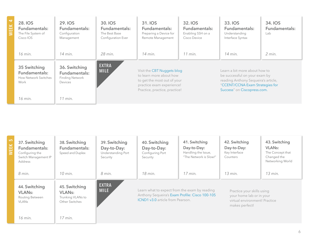| 51<br>띲 | <b>28. IOS</b><br>Fundamentals:<br>The File System of<br>Cisco IOS   | <b>29. IOS</b><br>Fundamentals:<br>Configuration<br>Management      | 30. IOS<br>Fundamentals:<br>The Best Base<br>Configuration Ever | 31. IOS<br>Fundamentals:<br>Preparing a Device for<br>Remote Management                                                                            | 32. IOS<br><b>Fundamentals:</b><br>Enabling SSH on a<br>Cisco Device | 33. IOS<br>Fundamentals:<br>Understanding<br>Interface Syntax                                                                                                           | 34. <b>IOS</b><br>Fundamentals:<br>Lab |
|---------|----------------------------------------------------------------------|---------------------------------------------------------------------|-----------------------------------------------------------------|----------------------------------------------------------------------------------------------------------------------------------------------------|----------------------------------------------------------------------|-------------------------------------------------------------------------------------------------------------------------------------------------------------------------|----------------------------------------|
|         | 16 min.                                                              | 14 min.                                                             | 28 min.                                                         | 14 min.                                                                                                                                            | $11$ min.                                                            | $14$ min.                                                                                                                                                               | $2$ min.                               |
|         | 35 Switching<br>Fundamentals:<br><b>How Network Switches</b><br>Work | 36. Switching<br>Fundamentals:<br><b>Finding Network</b><br>Devices | <b>EXTRA</b><br><b>MILE</b>                                     | Visit the CBT Nuggets blog<br>to learn more about how<br>to get the most out of your<br>practice exam experience!<br>Practice, practice, practice! |                                                                      | Learn a bit more about how to<br>be successful on your exam by<br>reading Anthony Sequeira's article,<br>"CCENT/CCNA Exam Strategies for<br>Success" on Ciscopress.com. |                                        |
|         | 16 min.                                                              | $11$ min.                                                           |                                                                 |                                                                                                                                                    |                                                                      |                                                                                                                                                                         |                                        |

| ഥ | 37. Switching<br>Fundamentals:<br>Configuring the<br>Switch Management IP<br>Address | 38. Switching<br>Fundamentals:<br>Speed and Duplex                    | 39. Switching<br>Day-to-Day:<br>Understanding Port<br>Security | 40. Switching<br>Day-to-Day:<br>Configuring Port<br>Security                                                                               | 41. Switching<br>Day-to-Day:<br>Handling the Issue,<br>"The Network is Slow!" | 42. Switching<br>Day-to-Day:<br>Key Interface<br>Counters                                                 | 43. Switching<br><b>VLAN<sub>s</sub></b> :<br>The Concept that<br>Changed the<br>Networking World |
|---|--------------------------------------------------------------------------------------|-----------------------------------------------------------------------|----------------------------------------------------------------|--------------------------------------------------------------------------------------------------------------------------------------------|-------------------------------------------------------------------------------|-----------------------------------------------------------------------------------------------------------|---------------------------------------------------------------------------------------------------|
|   | 8 min.                                                                               | $10$ min.                                                             | 8 min.                                                         | 18 min.                                                                                                                                    | $17$ min.                                                                     | $13$ min.                                                                                                 | 13 min.                                                                                           |
|   | 44. Switching<br><b>VLANs:</b><br>Routing Between<br><b>VLANs</b>                    | 45. Switching<br><b>VLANs:</b><br>Trunking VLANs to<br>Other Switches | <b>EXTRA</b><br><b>MILE</b>                                    | Learn what to expect from the exam by reading<br>Anthony Sequeira's Exam Profile: Cisco 100-105<br><b>ICND1 v3.0</b> article from Pearson. |                                                                               | Practice your skills using<br>your home lab or in your<br>virtual environment! Practice<br>makes perfect! |                                                                                                   |
|   | 16 min.                                                                              | $17$ min.                                                             |                                                                |                                                                                                                                            |                                                                               |                                                                                                           |                                                                                                   |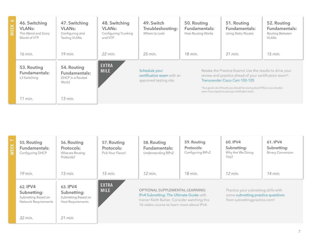| Ó<br>ш<br>m | 46. Switching<br><b>VLANs:</b><br>The Weird and Scary<br>World of VTP | 47. Switching<br><b>VLANs:</b><br>Configuring and<br><b>Testing VLANs</b> | 48. Switching<br><b>VLANs:</b><br>Configuring Trunking<br>and VTP | 49. Switch<br>Troubleshooting:<br>Where to Look                       | 50. Routing<br>Fundamentals:<br>How Routing Works | 51. Routing<br>Fundamentals:<br><b>Using Static Routes</b>                                                                                                                                                                                                                                | 52. Routing<br>Fundamentals:<br>Routing Between<br><b>VLANs</b> |
|-------------|-----------------------------------------------------------------------|---------------------------------------------------------------------------|-------------------------------------------------------------------|-----------------------------------------------------------------------|---------------------------------------------------|-------------------------------------------------------------------------------------------------------------------------------------------------------------------------------------------------------------------------------------------------------------------------------------------|-----------------------------------------------------------------|
|             | 16 min.                                                               | $19$ min.                                                                 | 22 min.                                                           | 25 min.                                                               | 18 min.                                           | 31 min.                                                                                                                                                                                                                                                                                   | $15$ min.                                                       |
|             | 53. Routing<br>Fundamentals:<br>L3 Switching                          | 54. Routing<br>Fundamentals:<br>DHCP in a Routed<br>World                 | <b>EXTRA</b><br><b>MILE</b>                                       | Schedule your<br>certification exam with an<br>approved testing site. |                                                   | Retake the Practice Exams! Use the results to drive your<br>review and practice ahead of your certification exam*.<br>Transcender Cisco Cert-100-105<br>*As a good rule of thumb, you should be scoring about 90% on your practice<br>exam if you expect to pass your certification exam. |                                                                 |
|             | $11$ min.                                                             | $13$ min.                                                                 |                                                                   |                                                                       |                                                   |                                                                                                                                                                                                                                                                                           |                                                                 |

| 뿐 | 55. Routing<br>Fundamentals:<br>Configuring DHCP                       | 56. Routing<br>Protocols:<br>What are Routing<br>Protocols?                | 57. Routing<br>Protocols:<br>Pick Your Flavor! | 58. Routing<br>Fundamentals:<br>Understanding RIPv2                                                                                                                             | 59. Routing<br>Protocols:<br>Configuring RIPv2 | 60. IPV4<br>Subnetting:<br>Why Are We Doing<br>This?                                                       | 61. IPV4<br>Subnetting:<br><b>Binary Conversion</b> |
|---|------------------------------------------------------------------------|----------------------------------------------------------------------------|------------------------------------------------|---------------------------------------------------------------------------------------------------------------------------------------------------------------------------------|------------------------------------------------|------------------------------------------------------------------------------------------------------------|-----------------------------------------------------|
|   | $19$ min.                                                              | $13$ min.                                                                  | $15$ min.                                      | $12$ min.                                                                                                                                                                       | 18 min.                                        | $12$ min.                                                                                                  | 14 min.                                             |
|   | 62. IPV4<br>Subnetting:<br>Subnetting Based on<br>Network Requirements | 63. IPV4<br>Subnetting:<br>Subnetting Based on<br><b>Host Requirements</b> | <b>EXTRA</b><br><b>MILE</b>                    | <b>OPTIONAL SUPPLEMENTAL LEARNING:</b><br>IPv4 Subnetting: The Ultimate Guide with<br>trainer Keith Barker. Consider watching this<br>16-video course to learn more about IPv4. |                                                | Practice your subnetting skills with<br>some subnetting practice questions<br>from subnettingpractice.com! |                                                     |
|   | 32 min.                                                                | $21$ min.                                                                  |                                                |                                                                                                                                                                                 |                                                |                                                                                                            |                                                     |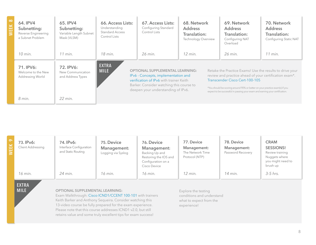| 64. IPV4<br>Subnetting:<br>Reverse Engineering<br>a Subnet Problem | 65. IPV4<br>Subnetting:<br>Variable Length Subnet<br>Mask (VLSM) | 66. Access Lists:<br>Understanding<br><b>Standard Access</b><br>Control Lists | 67. Access Lists:<br>Configuring Standard<br>Control Lists                                                                                                                                                 | 68. Network<br><b>Address</b><br><b>Translation:</b><br><b>Technology Overview</b> | 69. Network<br><b>Address</b><br>Translation:<br>Configuring NAT<br>Overload                                                                                                                                                                                                                                        | 70. Network<br><b>Address</b><br>Translation:<br>Configuring Static NAT |
|--------------------------------------------------------------------|------------------------------------------------------------------|-------------------------------------------------------------------------------|------------------------------------------------------------------------------------------------------------------------------------------------------------------------------------------------------------|------------------------------------------------------------------------------------|---------------------------------------------------------------------------------------------------------------------------------------------------------------------------------------------------------------------------------------------------------------------------------------------------------------------|-------------------------------------------------------------------------|
| $10$ min.                                                          | $11$ min.                                                        | 18 min.                                                                       | 26 min.                                                                                                                                                                                                    | $12$ min.                                                                          | 26 min.                                                                                                                                                                                                                                                                                                             | $11$ min.                                                               |
| 71. IPV6:<br>Welcome to the New<br>Addressing World                | 72. IPV6:<br>New Communication<br>and Address Types              | <b>EXTRA</b><br><b>MILE</b>                                                   | <b>OPTIONAL SUPPLEMENTAL LEARNING:</b><br>IPv6 - Concepts, implementation and<br>verification of IPv6 with trainer Keith<br>Barker. Consider watching this course to<br>deepen your understanding of IPv6. |                                                                                    | Retake the Practice Exams! Use the results to drive your<br>review and practice ahead of your certification exam*.<br>Transcender Cisco Cert-100-105<br>*You should be scoring around 90% or better on your practice exam(s) if you<br>expect to be successful in passing your exam and earning your certification. |                                                                         |
| 8 min.                                                             | 22 min.                                                          |                                                                               |                                                                                                                                                                                                            |                                                                                    |                                                                                                                                                                                                                                                                                                                     |                                                                         |

| 73. IPv6:<br><b>Client Addressing</b> | 74. IPv6:<br>Interface Configuration<br>and Static Routing | 75. Device<br>Management:<br>Logging via Syslog | 76. Device<br>Management:<br>Backing Up and<br>Restoring the IOS and<br>Configuration on a<br>Cisco Device | 77. Device<br>Management:<br>The Network Time<br>Protocol (NTP) | 78. Device<br>Management:<br>Password Recovery | <b>CRAM</b><br><b>SESSIONS!</b><br>Review training<br>Nuggets where<br>you might need to<br>brush up |
|---------------------------------------|------------------------------------------------------------|-------------------------------------------------|------------------------------------------------------------------------------------------------------------|-----------------------------------------------------------------|------------------------------------------------|------------------------------------------------------------------------------------------------------|
| 16 min.                               | 24 min.                                                    | 16 min.                                         | 16 min.                                                                                                    | $12$ min.                                                       | 14 min.                                        | $3-5$ hrs.                                                                                           |

**EXTRA MILE**

#### **OPTIONAL SUPPLEMENTAL LEARNING:**

Exam Walkthrough: [Cisco ICND1/CCENT 100-101](https://www.cbtnuggets.com/it-training/cisco-ccna-icnd1-100-101-exam-walkthrough) with trainers Keith Barker and Anthony Sequeira. Consider watching this 13-video course be fully prepared for the exam experience. Please note that this course addresses ICND1 v2.0, but still retains value and some truly excellent tips for exam success!

Explore the testing conditions and understand what to expect from the experience!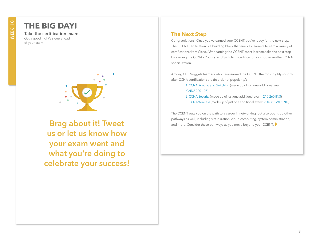## **THE BIG DAY!**

**Take the certification exam.** Get a good night's sleep ahead of your exam!



**Brag about it! Tweet us or let us know how your exam went and what you're doing to celebrate your success!**

#### **The Next Step**

Congratulations! Once you've earned your CCENT, you're ready for the next step. The CCENT certification is a building block that enables learners to earn a variety of certifications from Cisco. After earning the CCENT, most learners take the next step by earning the CCNA - Routing and Switching certification or choose another CCNA specialization.

Among CBT Nuggets learners who have earned the CCENT, the most highly soughtafter CCNA certifications are (in order of popularity):

> [1. CCNA Routing and Switching](http://www.cisco.com/c/en/us/training-events/training-certifications/certifications/associate/ccna-routing-switching.html) (made up of just one additional exam: [ICND2 200-105\)](https://www.cbtnuggets.com/it-training/icnd2-200-105)

- [2. CCNA Security](http://www.cisco.com/c/en/us/training-events/training-certifications/certifications/associate/ccna-security.html) (made up of just one additional exam: [210-260 IINS\)](https://www.cbtnuggets.com/it-training/cisco-ccna-security-210-260)
- [3. CCNA Wireless](http://www.cisco.com/c/en/us/training-events/training-certifications/certifications/associate/ccna-wireless.html) (made up of just one additional exam: [200-355 WIFUND\)](https://www.cbtnuggets.com/it-training/cisco-ccna-wireless-200-355-wifund)

The CCENT puts you on the path to a career in networking, but also opens up other pathways as well, including virtualization, cloud computing, system administration, and more. Consider these pathways as you move beyond your CCENT.